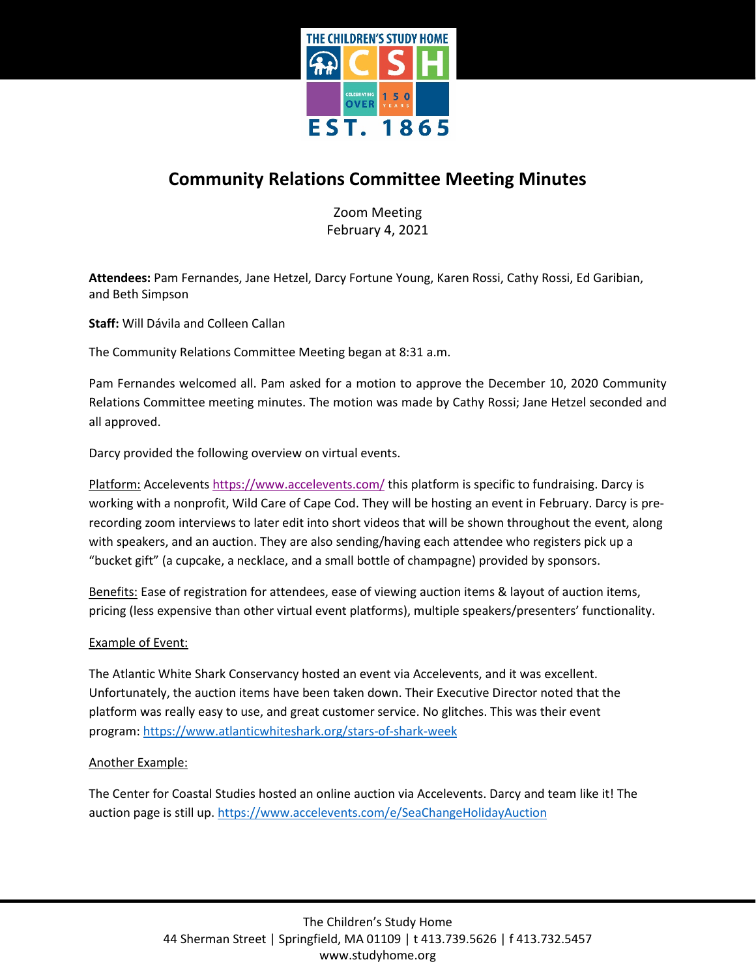

# **Community Relations Committee Meeting Minutes**

Zoom Meeting February 4, 2021

**Attendees:** Pam Fernandes, Jane Hetzel, Darcy Fortune Young, Karen Rossi, Cathy Rossi, Ed Garibian, and Beth Simpson

**Staff:** Will Dávila and Colleen Callan

The Community Relations Committee Meeting began at 8:31 a.m.

Pam Fernandes welcomed all. Pam asked for a motion to approve the December 10, 2020 Community Relations Committee meeting minutes. The motion was made by Cathy Rossi; Jane Hetzel seconded and all approved.

Darcy provided the following overview on virtual events.

Platform: Accelevents<https://www.accelevents.com/> this platform is specific to fundraising. Darcy is working with a nonprofit, Wild Care of Cape Cod. They will be hosting an event in February. Darcy is prerecording zoom interviews to later edit into short videos that will be shown throughout the event, along with speakers, and an auction. They are also sending/having each attendee who registers pick up a "bucket gift" (a cupcake, a necklace, and a small bottle of champagne) provided by sponsors.

Benefits: Ease of registration for attendees, ease of viewing auction items & layout of auction items, pricing (less expensive than other virtual event platforms), multiple speakers/presenters' functionality.

## Example of Event:

The Atlantic White Shark Conservancy hosted an event via Accelevents, and it was excellent. Unfortunately, the auction items have been taken down. Their Executive Director noted that the platform was really easy to use, and great customer service. No glitches. This was their event program: <https://www.atlanticwhiteshark.org/stars-of-shark-week>

#### Another Example:

The Center for Coastal Studies hosted an online auction via Accelevents. Darcy and team like it! The auction page is still up. <https://www.accelevents.com/e/SeaChangeHolidayAuction>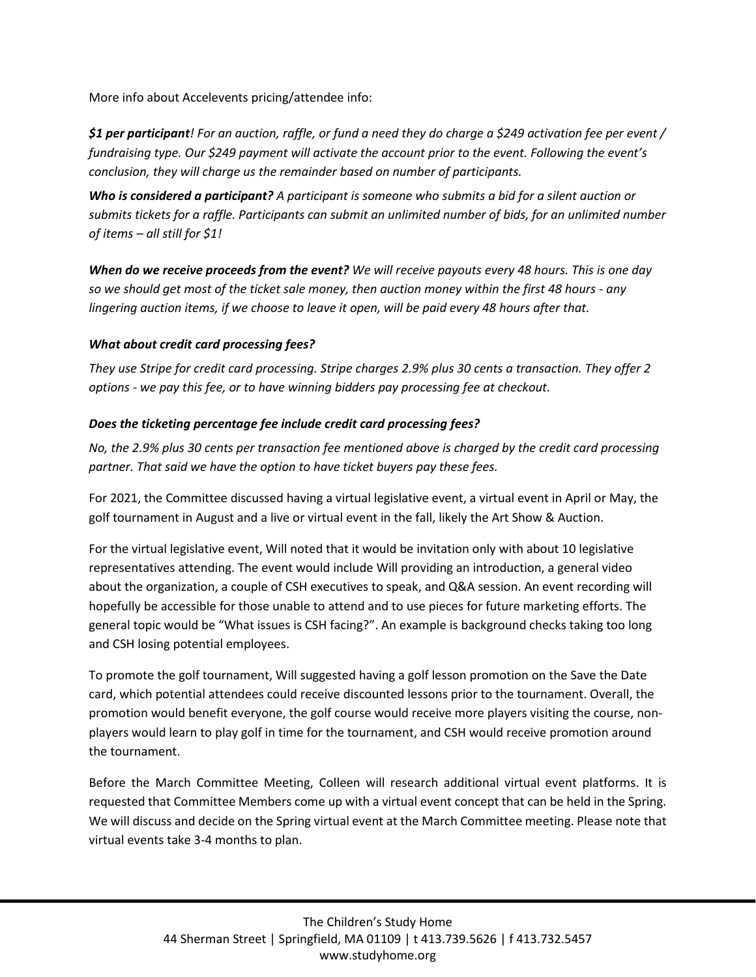More info about Accelevents pricing/attendee info:

*\$1 per participant! For an auction, raffle, or fund a need they do charge a \$249 activation fee per event / fundraising type. Our \$249 payment will activate the account prior to the event. Following the event's conclusion, they will charge us the remainder based on number of participants.*

*Who is considered a participant? A participant is someone who submits a bid for a silent auction or submits tickets for a raffle. Participants can submit an unlimited number of bids, for an unlimited number of items – all still for \$1!*

*When do we receive proceeds from the event? We will receive payouts every 48 hours. This is one day so we should get most of the ticket sale money, then auction money within the first 48 hours - any lingering auction items, if we choose to leave it open, will be paid every 48 hours after that.*

## *What about credit card processing fees?*

*They use Stripe for credit card processing. Stripe charges 2.9% plus 30 cents a transaction. They offer 2 options - we pay this fee, or to have winning bidders pay processing fee at checkout.*

## *Does the ticketing percentage fee include credit card processing fees?*

*No, the 2.9% plus 30 cents per transaction fee mentioned above is charged by the credit card processing partner. That said we have the option to have ticket buyers pay these fees.*

For 2021, the Committee discussed having a virtual legislative event, a virtual event in April or May, the golf tournament in August and a live or virtual event in the fall, likely the Art Show & Auction.

For the virtual legislative event, Will noted that it would be invitation only with about 10 legislative representatives attending. The event would include Will providing an introduction, a general video about the organization, a couple of CSH executives to speak, and Q&A session. An event recording will hopefully be accessible for those unable to attend and to use pieces for future marketing efforts. The general topic would be "What issues is CSH facing?". An example is background checks taking too long and CSH losing potential employees.

To promote the golf tournament, Will suggested having a golf lesson promotion on the Save the Date card, which potential attendees could receive discounted lessons prior to the tournament. Overall, the promotion would benefit everyone, the golf course would receive more players visiting the course, nonplayers would learn to play golf in time for the tournament, and CSH would receive promotion around the tournament.

Before the March Committee Meeting, Colleen will research additional virtual event platforms. It is requested that Committee Members come up with a virtual event concept that can be held in the Spring. We will discuss and decide on the Spring virtual event at the March Committee meeting. Please note that virtual events take 3-4 months to plan.